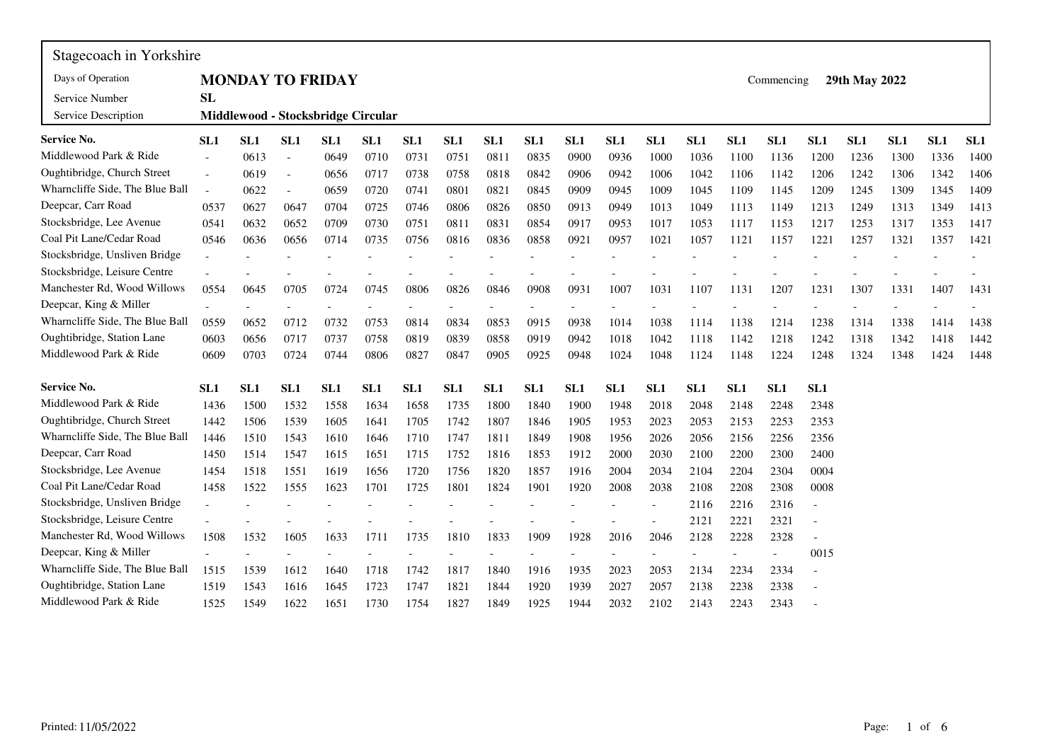| Stagecoach in Yorkshire         |                 |      |                |                                    |      |                 |                 |      |                 |      |      |                          |      |                 |            |      |               |      |      |                 |
|---------------------------------|-----------------|------|----------------|------------------------------------|------|-----------------|-----------------|------|-----------------|------|------|--------------------------|------|-----------------|------------|------|---------------|------|------|-----------------|
| Days of Operation               |                 |      |                | <b>MONDAY TO FRIDAY</b>            |      |                 |                 |      |                 |      |      |                          |      |                 | Commencing |      | 29th May 2022 |      |      |                 |
| Service Number                  | <b>SL</b>       |      |                |                                    |      |                 |                 |      |                 |      |      |                          |      |                 |            |      |               |      |      |                 |
| Service Description             |                 |      |                | Middlewood - Stocksbridge Circular |      |                 |                 |      |                 |      |      |                          |      |                 |            |      |               |      |      |                 |
| Service No.                     | SL <sub>1</sub> | SL1  | SL1            | SL1                                | SL1  | SL <sub>1</sub> | SL1             | SL1  | SL1             | SL1  | SL1  | SL1                      | SL1  | SL1             | SL1        | SL1  | SL1           | SL1  | SL1  | SL <sub>1</sub> |
| Middlewood Park & Ride          |                 | 0613 | $\blacksquare$ | 0649                               | 0710 | 0731            | 0751            | 0811 | 0835            | 0900 | 0936 | 1000                     | 1036 | 1100            | 1136       | 1200 | 1236          | 1300 | 1336 | 1400            |
| Oughtibridge, Church Street     | $\bar{a}$       | 0619 | $\blacksquare$ | 0656                               | 0717 | 0738            | 0758            | 0818 | 0842            | 0906 | 0942 | 1006                     | 1042 | 1106            | 1142       | 1206 | 1242          | 1306 | 1342 | 1406            |
| Wharncliffe Side, The Blue Ball | $\overline{a}$  | 0622 | $\overline{a}$ | 0659                               | 0720 | 0741            | 0801            | 0821 | 0845            | 0909 | 0945 | 1009                     | 1045 | 1109            | 1145       | 1209 | 1245          | 1309 | 1345 | 1409            |
| Deepcar, Carr Road              | 0537            | 0627 | 0647           | 0704                               | 0725 | 0746            | 0806            | 0826 | 0850            | 0913 | 0949 | 1013                     | 1049 | 1113            | 1149       | 1213 | 1249          | 1313 | 1349 | 1413            |
| Stocksbridge, Lee Avenue        | 0541            | 0632 | 0652           | 0709                               | 0730 | 0751            | 0811            | 0831 | 0854            | 0917 | 0953 | 1017                     | 1053 | 1117            | 1153       | 1217 | 1253          | 1317 | 1353 | 1417            |
| Coal Pit Lane/Cedar Road        | 0546            | 0636 | 0656           | 0714                               | 0735 | 0756            | 0816            | 0836 | 0858            | 0921 | 0957 | 1021                     | 1057 | 1121            | 1157       | 1221 | 1257          | 1321 | 1357 | 1421            |
| Stocksbridge, Unsliven Bridge   |                 |      |                |                                    |      |                 |                 |      |                 |      |      |                          |      |                 |            |      |               |      |      |                 |
| Stocksbridge, Leisure Centre    |                 |      |                |                                    |      |                 |                 |      |                 |      |      |                          |      |                 |            |      |               |      |      |                 |
| Manchester Rd, Wood Willows     | 0554            | 0645 | 0705           | 0724                               | 0745 | 0806            | 0826            | 0846 | 0908            | 0931 | 1007 | 1031                     | 1107 | 1131            | 1207       | 1231 | 1307          | 1331 | 1407 | 1431            |
| Deepcar, King & Miller          |                 |      |                |                                    |      |                 |                 |      |                 |      |      |                          |      |                 |            |      |               |      |      |                 |
| Wharncliffe Side, The Blue Ball | 0559            | 0652 | 0712           | 0732                               | 0753 | 0814            | 0834            | 0853 | 0915            | 0938 | 1014 | 1038                     | 1114 | 1138            | 1214       | 1238 | 1314          | 1338 | 1414 | 1438            |
| Oughtibridge, Station Lane      | 0603            | 0656 | 0717           | 0737                               | 0758 | 0819            | 0839            | 0858 | 0919            | 0942 | 1018 | 1042                     | 1118 | 1142            | 1218       | 1242 | 1318          | 1342 | 1418 | 1442            |
| Middlewood Park & Ride          | 0609            | 0703 | 0724           | 0744                               | 0806 | 0827            | 0847            | 0905 | 0925            | 0948 | 1024 | 1048                     | 1124 | 1148            | 1224       | 1248 | 1324          | 1348 | 1424 | 1448            |
| <b>Service No.</b>              | SL <sub>1</sub> | SL1  | SL1            | SL1                                | SL1  | SL <sub>1</sub> | SL <sub>1</sub> | SL1  | SL <sub>1</sub> | SL1  | SL1  | SL <sub>1</sub>          | SL1  | SL <sub>1</sub> | SL1        | SL1  |               |      |      |                 |
| Middlewood Park & Ride          | 1436            | 1500 | 1532           | 1558                               | 1634 | 1658            | 1735            | 1800 | 1840            | 1900 | 1948 | 2018                     | 2048 | 2148            | 2248       | 2348 |               |      |      |                 |
| Oughtibridge, Church Street     | 1442            | 1506 | 1539           | 1605                               | 1641 | 1705            | 1742            | 1807 | 1846            | 1905 | 1953 | 2023                     | 2053 | 2153            | 2253       | 2353 |               |      |      |                 |
| Wharncliffe Side, The Blue Ball | 1446            | 1510 | 1543           | 1610                               | 1646 | 1710            | 1747            | 1811 | 1849            | 1908 | 1956 | 2026                     | 2056 | 2156            | 2256       | 2356 |               |      |      |                 |
| Deepcar, Carr Road              | 1450            | 1514 | 1547           | 1615                               | 1651 | 1715            | 1752            | 1816 | 1853            | 1912 | 2000 | 2030                     | 2100 | 2200            | 2300       | 2400 |               |      |      |                 |
| Stocksbridge, Lee Avenue        | 1454            | 1518 | 1551           | 1619                               | 1656 | 1720            | 1756            | 1820 | 1857            | 1916 | 2004 | 2034                     | 2104 | 2204            | 2304       | 0004 |               |      |      |                 |
| Coal Pit Lane/Cedar Road        | 1458            | 1522 | 1555           | 1623                               | 1701 | 1725            | 1801            | 1824 | 1901            | 1920 | 2008 | 2038                     | 2108 | 2208            | 2308       | 0008 |               |      |      |                 |
| Stocksbridge, Unsliven Bridge   |                 |      |                |                                    |      |                 |                 |      |                 |      |      | $\overline{\phantom{a}}$ | 2116 | 2216            | 2316       |      |               |      |      |                 |
| Stocksbridge, Leisure Centre    |                 |      |                |                                    |      |                 |                 |      |                 |      |      |                          | 2121 | 2221            | 2321       |      |               |      |      |                 |
| Manchester Rd, Wood Willows     | 1508            | 1532 | 1605           | 1633                               | 1711 | 1735            | 1810            | 1833 | 1909            | 1928 | 2016 | 2046                     | 2128 | 2228            | 2328       |      |               |      |      |                 |
| Deepcar, King & Miller          |                 |      |                |                                    |      |                 |                 |      |                 |      |      |                          |      |                 |            | 0015 |               |      |      |                 |
| Wharncliffe Side, The Blue Ball | 1515            | 1539 | 1612           | 1640                               | 1718 | 1742            | 1817            | 1840 | 1916            | 1935 | 2023 | 2053                     | 2134 | 2234            | 2334       |      |               |      |      |                 |
| Oughtibridge, Station Lane      | 1519            | 1543 | 1616           | 1645                               | 1723 | 1747            | 1821            | 1844 | 1920            | 1939 | 2027 | 2057                     | 2138 | 2238            | 2338       |      |               |      |      |                 |
| Middlewood Park & Ride          | 1525            | 1549 | 1622           | 1651                               | 1730 | 1754            | 1827            | 1849 | 1925            | 1944 | 2032 | 2102                     | 2143 | 2243            | 2343       |      |               |      |      |                 |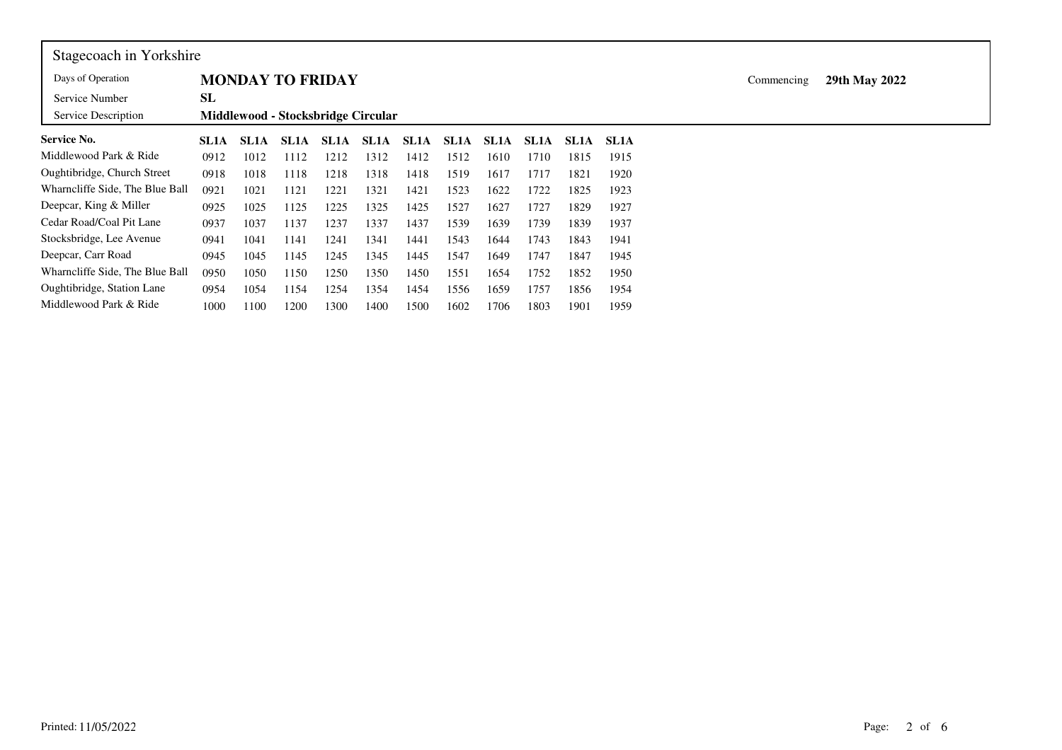| Stagecoach in Yorkshire         |             |             |      |                                    |                   |             |             |      |      |             |             |            |               |  |
|---------------------------------|-------------|-------------|------|------------------------------------|-------------------|-------------|-------------|------|------|-------------|-------------|------------|---------------|--|
| Days of Operation               |             |             |      | <b>MONDAY TO FRIDAY</b>            |                   |             |             |      |      |             |             | Commencing | 29th May 2022 |  |
| Service Number                  | SL          |             |      |                                    |                   |             |             |      |      |             |             |            |               |  |
| Service Description             |             |             |      | Middlewood - Stocksbridge Circular |                   |             |             |      |      |             |             |            |               |  |
| <b>Service No.</b>              | <b>SL1A</b> | <b>SL1A</b> | SL1A | SL1A                               | SL <sub>1</sub> A | <b>SL1A</b> | <b>SL1A</b> | SL1A | SL1A | <b>SL1A</b> | <b>SL1A</b> |            |               |  |
| Middlewood Park & Ride          | 0912        | 1012        | 1112 | 1212                               | 1312              | 1412        | 1512        | 1610 | 1710 | 1815        | 1915        |            |               |  |
| Oughtibridge, Church Street     | 0918        | 1018        | 1118 | 1218                               | 1318              | 1418        | 1519        | 1617 | 1717 | 1821        | 1920        |            |               |  |
| Wharncliffe Side, The Blue Ball | 0921        | 1021        | 1121 | 1221                               | 1321              | 1421        | 1523        | 1622 | 1722 | 1825        | 1923        |            |               |  |
| Deepcar, King & Miller          | 0925        | 1025        | 1125 | 1225                               | 1325              | 1425        | 1527        | 1627 | 1727 | 1829        | 1927        |            |               |  |
| Cedar Road/Coal Pit Lane        | 0937        | 1037        | 1137 | 1237                               | 1337              | 1437        | 1539        | 1639 | 1739 | 1839        | 1937        |            |               |  |
| Stocksbridge, Lee Avenue        | 0941        | 1041        | 1141 | 1241                               | 1341              | 1441        | 1543        | 1644 | 1743 | 1843        | 1941        |            |               |  |
| Deepcar, Carr Road              | 0945        | 1045        | 1145 | 1245                               | 1345              | 1445        | 1547        | 1649 | 1747 | 1847        | 1945        |            |               |  |
| Wharncliffe Side, The Blue Ball | 0950        | 1050        | 1150 | 1250                               | 1350              | 1450        | 1551        | 1654 | 1752 | 1852        | 1950        |            |               |  |
| Oughtibridge, Station Lane      | 0954        | 1054        | 1154 | 1254                               | 1354              | 1454        | 1556        | 1659 | 1757 | 1856        | 1954        |            |               |  |
| Middlewood Park & Ride          | 1000        | 1100        | 1200 | 1300                               | 1400              | 1500        | 1602        | 1706 | 1803 | 1901        | 1959        |            |               |  |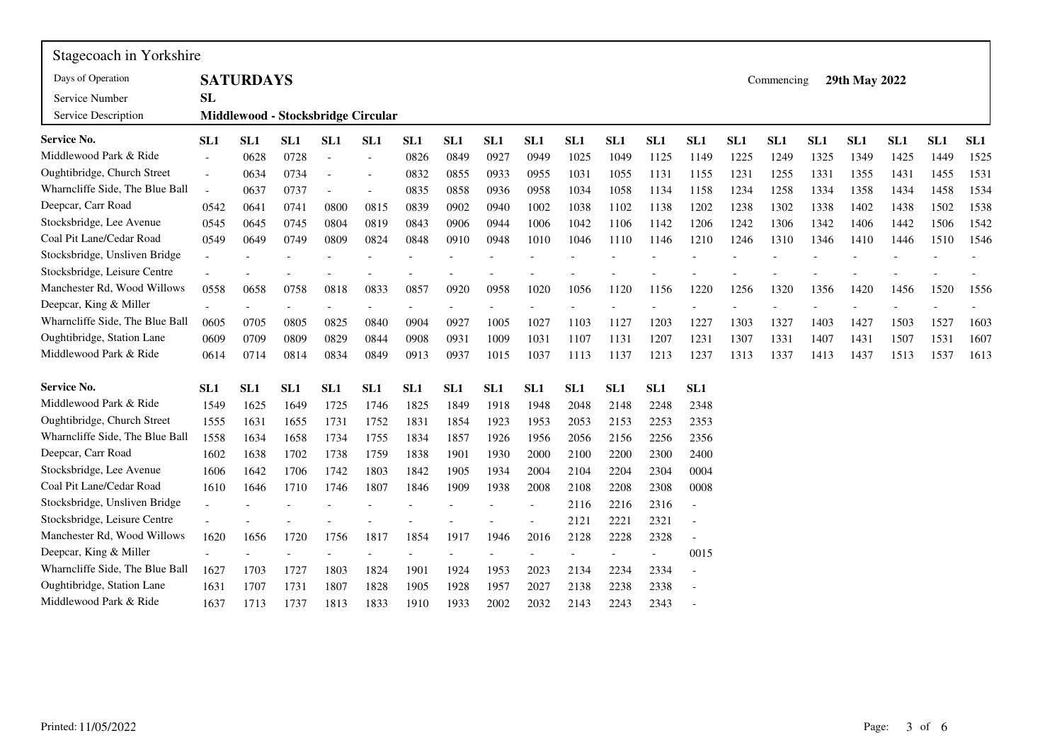| Stagecoach in Yorkshire         |                 |                  |      |                          |                                    |                 |                 |                 |                 |                 |                 |                          |                 |      |            |      |                 |      |      |                 |
|---------------------------------|-----------------|------------------|------|--------------------------|------------------------------------|-----------------|-----------------|-----------------|-----------------|-----------------|-----------------|--------------------------|-----------------|------|------------|------|-----------------|------|------|-----------------|
| Days of Operation               |                 | <b>SATURDAYS</b> |      |                          |                                    |                 |                 |                 |                 |                 |                 |                          |                 |      | Commencing |      | 29th May 2022   |      |      |                 |
| Service Number                  | <b>SL</b>       |                  |      |                          |                                    |                 |                 |                 |                 |                 |                 |                          |                 |      |            |      |                 |      |      |                 |
| Service Description             |                 |                  |      |                          | Middlewood - Stocksbridge Circular |                 |                 |                 |                 |                 |                 |                          |                 |      |            |      |                 |      |      |                 |
| Service No.                     | SL1             | SL1              | SL1  | SL1                      | SL <sub>1</sub>                    | SL <sub>1</sub> | SL <sub>1</sub> | SL <sub>1</sub> | SL <sub>1</sub> | SL <sub>1</sub> | SL1             | SL1                      | SL1             | SL1  | SL1        | SL1  | SL <sub>1</sub> | SL1  | SL1  | SL <sub>1</sub> |
| Middlewood Park & Ride          |                 | 0628             | 0728 | $\overline{\phantom{a}}$ |                                    | 0826            | 0849            | 0927            | 0949            | 1025            | 1049            | 1125                     | 1149            | 1225 | 1249       | 1325 | 1349            | 1425 | 1449 | 1525            |
| Oughtibridge, Church Street     | $\sim$          | 0634             | 0734 |                          |                                    | 0832            | 0855            | 0933            | 0955            | 1031            | 1055            | 1131                     | 1155            | 1231 | 1255       | 1331 | 1355            | 1431 | 1455 | 1531            |
| Wharncliffe Side, The Blue Ball | $\overline{a}$  | 0637             | 0737 |                          | $\overline{a}$                     | 0835            | 0858            | 0936            | 0958            | 1034            | 1058            | 1134                     | 1158            | 1234 | 1258       | 1334 | 1358            | 1434 | 1458 | 1534            |
| Deepcar, Carr Road              | 0542            | 0641             | 0741 | 0800                     | 0815                               | 0839            | 0902            | 0940            | 1002            | 1038            | 1102            | 1138                     | 1202            | 1238 | 1302       | 1338 | 1402            | 1438 | 1502 | 1538            |
| Stocksbridge, Lee Avenue        | 0545            | 0645             | 0745 | 0804                     | 0819                               | 0843            | 0906            | 0944            | 1006            | 1042            | 1106            | 1142                     | 1206            | 1242 | 1306       | 1342 | 1406            | 1442 | 1506 | 1542            |
| Coal Pit Lane/Cedar Road        | 0549            | 0649             | 0749 | 0809                     | 0824                               | 0848            | 0910            | 0948            | 1010            | 1046            | 1110            | 1146                     | 1210            | 1246 | 1310       | 1346 | 1410            | 1446 | 1510 | 1546            |
| Stocksbridge, Unsliven Bridge   |                 |                  |      |                          |                                    |                 |                 |                 |                 |                 |                 |                          |                 |      |            |      |                 |      |      |                 |
| Stocksbridge, Leisure Centre    |                 |                  |      |                          |                                    |                 |                 |                 |                 |                 |                 |                          |                 |      |            |      |                 |      |      |                 |
| Manchester Rd, Wood Willows     | 0558            | 0658             | 0758 | 0818                     | 0833                               | 0857            | 0920            | 0958            | 1020            | 1056            | 1120            | 1156                     | 1220            | 1256 | 1320       | 1356 | 1420            | 1456 | 1520 | 1556            |
| Deepcar, King & Miller          |                 |                  |      |                          |                                    |                 |                 |                 |                 |                 |                 |                          |                 |      |            |      |                 |      |      |                 |
| Wharncliffe Side, The Blue Ball | 0605            | 0705             | 0805 | 0825                     | 0840                               | 0904            | 0927            | 1005            | 1027            | 1103            | 1127            | 1203                     | 1227            | 1303 | 1327       | 1403 | 1427            | 1503 | 1527 | 1603            |
| Oughtibridge, Station Lane      | 0609            | 0709             | 0809 | 0829                     | 0844                               | 0908            | 0931            | 1009            | 1031            | 1107            | 1131            | 1207                     | 1231            | 1307 | 1331       | 1407 | 1431            | 1507 | 1531 | 1607            |
| Middlewood Park & Ride          | 0614            | 0714             | 0814 | 0834                     | 0849                               | 0913            | 0937            | 1015            | 1037            | 1113            | 1137            | 1213                     | 1237            | 1313 | 1337       | 1413 | 1437            | 1513 | 1537 | 1613            |
| Service No.                     | SL <sub>1</sub> | SL <sub>1</sub>  | SL1  | SL <sub>1</sub>          | SL1                                | SL <sub>1</sub> | SL1             | SL1             | SL1             | SL <sub>1</sub> | SL <sub>1</sub> | SL <sub>1</sub>          | SL <sub>1</sub> |      |            |      |                 |      |      |                 |
| Middlewood Park & Ride          | 1549            | 1625             | 1649 | 1725                     | 1746                               | 1825            | 1849            | 1918            | 1948            | 2048            | 2148            | 2248                     | 2348            |      |            |      |                 |      |      |                 |
| Oughtibridge, Church Street     | 1555            | 1631             | 1655 | 1731                     | 1752                               | 1831            | 1854            | 1923            | 1953            | 2053            | 2153            | 2253                     | 2353            |      |            |      |                 |      |      |                 |
| Wharncliffe Side, The Blue Ball | 1558            | 1634             | 1658 | 1734                     | 1755                               | 1834            | 1857            | 1926            | 1956            | 2056            | 2156            | 2256                     | 2356            |      |            |      |                 |      |      |                 |
| Deepcar, Carr Road              | 1602            | 1638             | 1702 | 1738                     | 1759                               | 1838            | 1901            | 1930            | 2000            | 2100            | 2200            | 2300                     | 2400            |      |            |      |                 |      |      |                 |
| Stocksbridge, Lee Avenue        | 1606            | 1642             | 1706 | 1742                     | 1803                               | 1842            | 1905            | 1934            | 2004            | 2104            | 2204            | 2304                     | 0004            |      |            |      |                 |      |      |                 |
| Coal Pit Lane/Cedar Road        | 1610            | 1646             | 1710 | 1746                     | 1807                               | 1846            | 1909            | 1938            | 2008            | 2108            | 2208            | 2308                     | 0008            |      |            |      |                 |      |      |                 |
| Stocksbridge, Unsliven Bridge   |                 |                  |      |                          |                                    |                 |                 |                 | $\overline{a}$  | 2116            | 2216            | 2316                     | $\overline{a}$  |      |            |      |                 |      |      |                 |
| Stocksbridge, Leisure Centre    |                 |                  |      |                          |                                    |                 |                 |                 |                 | 2121            | 2221            | 2321                     |                 |      |            |      |                 |      |      |                 |
| Manchester Rd, Wood Willows     | 1620            | 1656             | 1720 | 1756                     | 1817                               | 1854            | 1917            | 1946            | 2016            | 2128            | 2228            | 2328                     |                 |      |            |      |                 |      |      |                 |
| Deepcar, King & Miller          |                 |                  |      |                          |                                    |                 |                 |                 |                 |                 |                 | $\overline{\phantom{a}}$ | 0015            |      |            |      |                 |      |      |                 |
| Wharncliffe Side, The Blue Ball | 1627            | 1703             | 1727 | 1803                     | 1824                               | 1901            | 1924            | 1953            | 2023            | 2134            | 2234            | 2334                     | $\blacksquare$  |      |            |      |                 |      |      |                 |
| Oughtibridge, Station Lane      | 1631            | 1707             | 1731 | 1807                     | 1828                               | 1905            | 1928            | 1957            | 2027            | 2138            | 2238            | 2338                     | $\overline{a}$  |      |            |      |                 |      |      |                 |
| Middlewood Park & Ride          | 1637            | 1713             | 1737 | 1813                     | 1833                               | 1910            | 1933            | 2002            | 2032            | 2143            | 2243            | 2343                     |                 |      |            |      |                 |      |      |                 |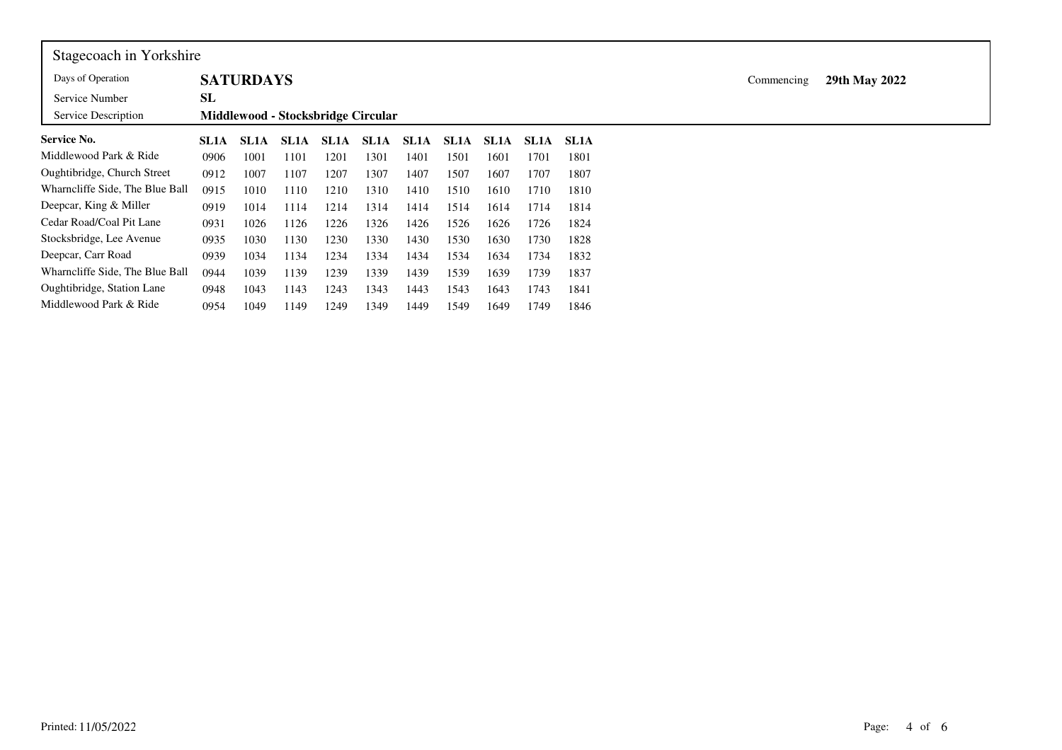| Stagecoach in Yorkshire         |             |                  |             |      |                                    |             |             |             |             |             |                             |
|---------------------------------|-------------|------------------|-------------|------|------------------------------------|-------------|-------------|-------------|-------------|-------------|-----------------------------|
| Days of Operation               |             | <b>SATURDAYS</b> |             |      |                                    |             |             |             |             |             | 29th May 2022<br>Commencing |
| Service Number                  | SL          |                  |             |      |                                    |             |             |             |             |             |                             |
| Service Description             |             |                  |             |      | Middlewood - Stocksbridge Circular |             |             |             |             |             |                             |
| <b>Service No.</b>              | <b>SL1A</b> | <b>SL1A</b>      | <b>SL1A</b> | SL1A | SL1A                               | <b>SL1A</b> | <b>SL1A</b> | <b>SL1A</b> | <b>SL1A</b> | <b>SL1A</b> |                             |
| Middlewood Park & Ride          | 0906        | 1001             | 1101        | 1201 | 1301                               | 1401        | 1501        | 1601        | 1701        | 1801        |                             |
| Oughtibridge, Church Street     | 0912        | 1007             | 1107        | 1207 | 1307                               | 1407        | 1507        | 1607        | 1707        | 1807        |                             |
| Wharncliffe Side, The Blue Ball | 0915        | 1010             | 1110        | 1210 | 1310                               | 1410        | 1510        | 1610        | 1710        | 1810        |                             |
| Deepcar, King & Miller          | 0919        | 1014             | 1114        | 1214 | 1314                               | 1414        | 1514        | 1614        | 1714        | 1814        |                             |
| Cedar Road/Coal Pit Lane        | 0931        | 1026             | 1126        | 1226 | 1326                               | 1426        | 1526        | 1626        | 1726        | 1824        |                             |
| Stocksbridge, Lee Avenue        | 0935        | 1030             | 1130        | 1230 | 1330                               | 1430        | 1530        | 1630        | 1730        | 1828        |                             |
| Deepcar, Carr Road              | 0939        | 1034             | 1134        | 1234 | 1334                               | 1434        | 1534        | 1634        | 1734        | 1832        |                             |
| Wharncliffe Side, The Blue Ball | 0944        | 1039             | 1139        | 1239 | 1339                               | 1439        | 1539        | 1639        | 1739        | 1837        |                             |
| Oughtibridge, Station Lane      | 0948        | 1043             | 1143        | 1243 | 1343                               | 1443        | 1543        | 1643        | 1743        | 1841        |                             |
| Middlewood Park & Ride          | 0954        | 1049             | 1149        | 1249 | 1349                               | 1449        | 1549        | 1649        | 1749        | 1846        |                             |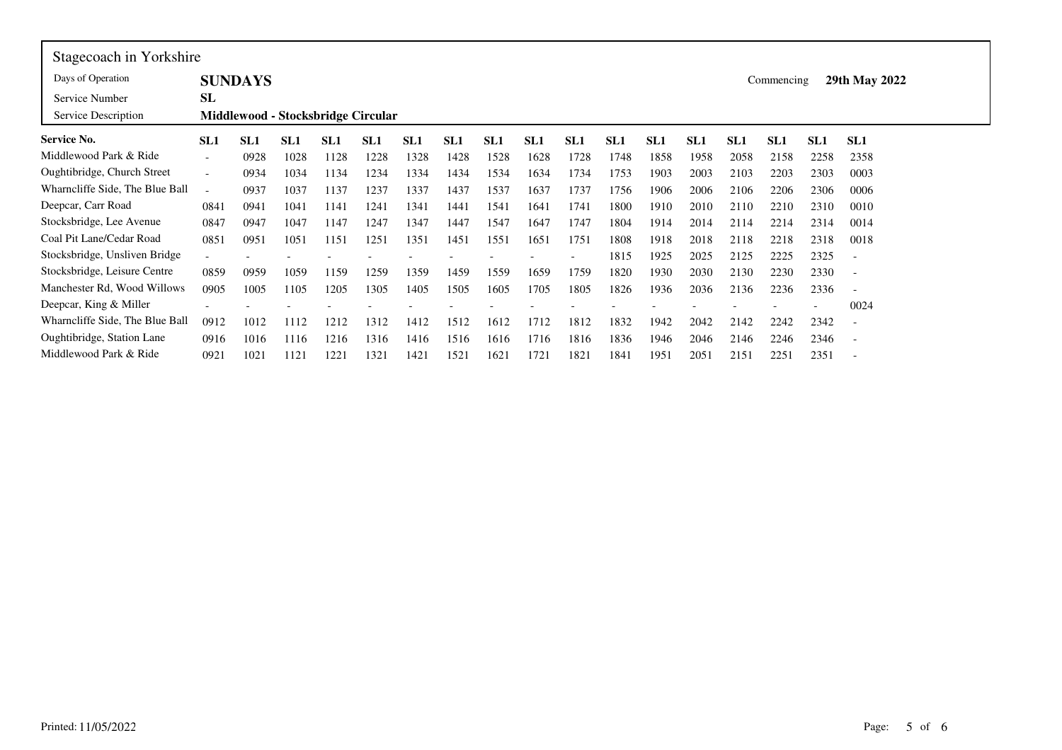| Stagecoach in Yorkshire               |                          |                |                                    |                 |                 |                 |                 |                 |                 |      |                 |                 |      |                 |                 |                 |                          |
|---------------------------------------|--------------------------|----------------|------------------------------------|-----------------|-----------------|-----------------|-----------------|-----------------|-----------------|------|-----------------|-----------------|------|-----------------|-----------------|-----------------|--------------------------|
| Days of Operation                     |                          | <b>SUNDAYS</b> |                                    |                 |                 |                 |                 |                 |                 |      |                 |                 |      |                 | Commencing      |                 | 29th May 2022            |
| Service Number<br>Service Description | SL                       |                | Middlewood - Stocksbridge Circular |                 |                 |                 |                 |                 |                 |      |                 |                 |      |                 |                 |                 |                          |
| Service No.                           | SL <sub>1</sub>          | SL1            | SL1                                | SL <sub>1</sub> | SL <sub>1</sub> | SL <sub>1</sub> | SL <sub>1</sub> | SL <sub>1</sub> | SL <sub>1</sub> | SL1  | SL <sub>1</sub> | SL <sub>1</sub> | SL1  | SL <sub>1</sub> | SL <sub>1</sub> | SL <sub>1</sub> | SL <sub>1</sub>          |
| Middlewood Park & Ride                | $\overline{\phantom{a}}$ | 0928           | 1028                               | 1128            | 1228            | 1328            | 1428            | 1528            | 1628            | 1728 | 1748            | 1858            | 1958 | 2058            | 2158            | 2258            | 2358                     |
| Oughtibridge, Church Street           | $\overline{\phantom{a}}$ | 0934           | 1034                               | 1134            | 1234            | 1334            | 1434            | 1534            | 1634            | 1734 | 1753            | 1903            | 2003 | 2103            | 2203            | 2303            | 0003                     |
| Wharncliffe Side, The Blue Ball       | $\sim$                   | 0937           | 1037                               | 1137            | 1237            | 1337            | 1437            | 1537            | 1637            | 1737 | 1756            | 1906            | 2006 | 2106            | 2206            | 2306            | 0006                     |
| Deepcar, Carr Road                    | 0841                     | 0941           | 1041                               | 1141            | 1241            | 1341            | 1441            | 1541            | 1641            | 1741 | 1800            | 1910            | 2010 | 2110            | 2210            | 2310            | 0010                     |
| Stocksbridge, Lee Avenue              | 0847                     | 0947           | 1047                               | 1147            | 1247            | 1347            | 1447            | 1547            | 1647            | 1747 | 1804            | 1914            | 2014 | 2114            | 2214            | 2314            | 0014                     |
| Coal Pit Lane/Cedar Road              | 0851                     | 0951           | 1051                               | 1151            | 1251            | 1351            | 1451            | 1551            | 1651            | 1751 | 1808            | 1918            | 2018 | 2118            | 2218            | 2318            | 0018                     |
| Stocksbridge, Unsliven Bridge         | $\overline{\phantom{a}}$ |                |                                    |                 |                 |                 |                 |                 |                 |      | 1815            | 1925            | 2025 | 2125            | 2225            | 2325            | $\overline{\phantom{a}}$ |
| Stocksbridge, Leisure Centre          | 0859                     | 0959           | 1059                               | 1159            | 1259            | 1359            | 1459            | 1559            | 1659            | 1759 | 1820            | 1930            | 2030 | 2130            | 2230            | 2330            | $\overline{\phantom{a}}$ |
| Manchester Rd, Wood Willows           | 0905                     | 1005           | 1105                               | 1205            | 1305            | 1405            | 1505            | 1605            | 1705            | 1805 | 1826            | 1936            | 2036 | 2136            | 2236            | 2336            | $\overline{\phantom{a}}$ |
| Deepcar, King & Miller                |                          |                |                                    |                 |                 |                 |                 |                 |                 |      |                 |                 |      |                 |                 |                 | 0024                     |
| Wharncliffe Side, The Blue Ball       | 0912                     | 1012           | 1112                               | 1212            | 1312            | 1412            | 1512            | 1612            | 1712            | 1812 | 1832            | 1942            | 2042 | 2142            | 2242            | 2342            | $\overline{\phantom{a}}$ |
| Oughtibridge, Station Lane            | 0916                     | 1016           | 1116                               | 1216            | 1316            | 1416            | 1516            | 1616            | 1716            | 1816 | 1836            | 1946            | 2046 | 2146            | 2246            | 2346            | $\overline{\phantom{a}}$ |
| Middlewood Park & Ride                | 0921                     | 1021           | 1121                               | 1221            | 1321            | 1421            | 1521            | 1621            | 1721            | 1821 | 1841            | 1951            | 2051 | 2151            | 2251            | 2351            |                          |